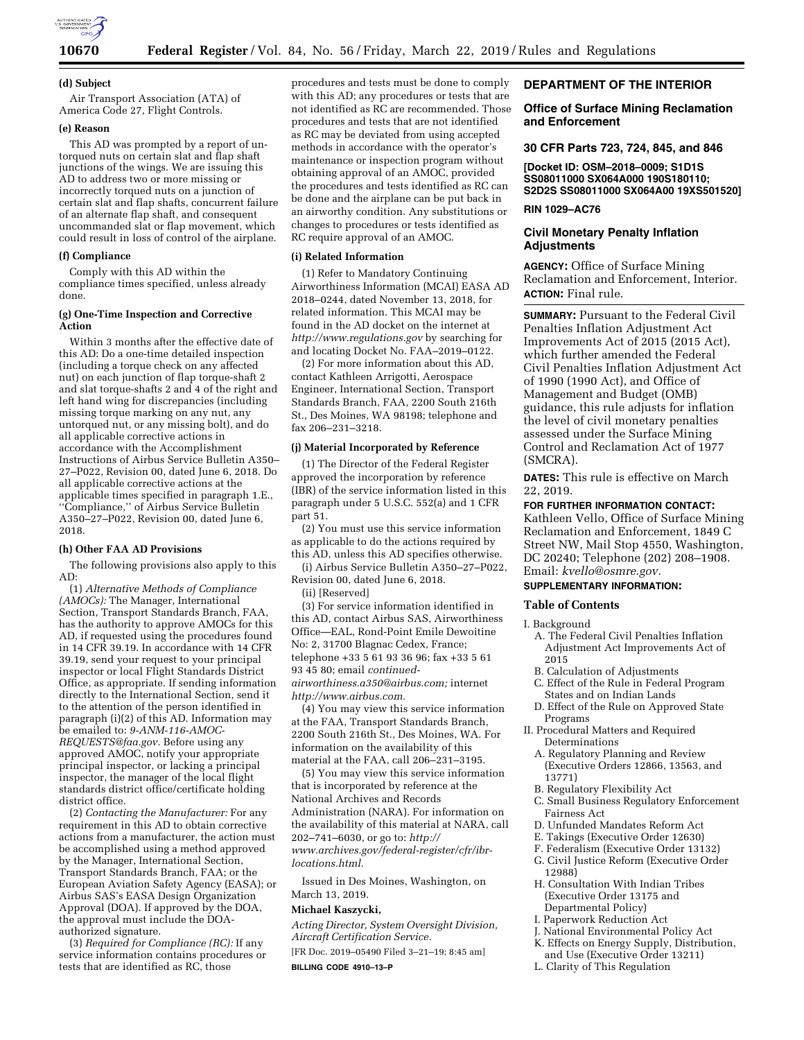

#### **(d) Subject**

Air Transport Association (ATA) of America Code 27, Flight Controls.

# **(e) Reason**

This AD was prompted by a report of untorqued nuts on certain slat and flap shaft junctions of the wings. We are issuing this AD to address two or more missing or incorrectly torqued nuts on a junction of certain slat and flap shafts, concurrent failure of an alternate flap shaft, and consequent uncommanded slat or flap movement, which could result in loss of control of the airplane.

#### **(f) Compliance**

Comply with this AD within the compliance times specified, unless already done.

#### **(g) One-Time Inspection and Corrective Action**

Within 3 months after the effective date of this AD: Do a one-time detailed inspection (including a torque check on any affected nut) on each junction of flap torque-shaft 2 and slat torque-shafts 2 and 4 of the right and left hand wing for discrepancies (including missing torque marking on any nut, any untorqued nut, or any missing bolt), and do all applicable corrective actions in accordance with the Accomplishment Instructions of Airbus Service Bulletin A350– 27–P022, Revision 00, dated June 6, 2018. Do all applicable corrective actions at the applicable times specified in paragraph 1.E., ''Compliance,'' of Airbus Service Bulletin A350–27–P022, Revision 00, dated June 6, 2018.

#### **(h) Other FAA AD Provisions**

The following provisions also apply to this AD:

(1) *Alternative Methods of Compliance (AMOCs):* The Manager, International Section, Transport Standards Branch, FAA, has the authority to approve AMOCs for this AD, if requested using the procedures found in 14 CFR 39.19. In accordance with 14 CFR 39.19, send your request to your principal inspector or local Flight Standards District Office, as appropriate. If sending information directly to the International Section, send it to the attention of the person identified in paragraph (i)(2) of this AD. Information may be emailed to: *[9-ANM-116-AMOC-](mailto:9-ANM-116-AMOC-REQUESTS@faa.gov)[REQUESTS@faa.gov.](mailto:9-ANM-116-AMOC-REQUESTS@faa.gov)* Before using any approved AMOC, notify your appropriate principal inspector, or lacking a principal inspector, the manager of the local flight standards district office/certificate holding district office.

(2) *Contacting the Manufacturer:* For any requirement in this AD to obtain corrective actions from a manufacturer, the action must be accomplished using a method approved by the Manager, International Section, Transport Standards Branch, FAA; or the European Aviation Safety Agency (EASA); or Airbus SAS's EASA Design Organization Approval (DOA). If approved by the DOA, the approval must include the DOAauthorized signature.

(3) *Required for Compliance (RC):* If any service information contains procedures or tests that are identified as RC, those

procedures and tests must be done to comply with this AD; any procedures or tests that are not identified as RC are recommended. Those procedures and tests that are not identified as RC may be deviated from using accepted methods in accordance with the operator's maintenance or inspection program without obtaining approval of an AMOC, provided the procedures and tests identified as RC can be done and the airplane can be put back in an airworthy condition. Any substitutions or changes to procedures or tests identified as RC require approval of an AMOC.

#### **(i) Related Information**

(1) Refer to Mandatory Continuing Airworthiness Information (MCAI) EASA AD 2018–0244, dated November 13, 2018, for related information. This MCAI may be found in the AD docket on the internet at *<http://www.regulations.gov>*by searching for and locating Docket No. FAA–2019–0122.

(2) For more information about this AD, contact Kathleen Arrigotti, Aerospace Engineer, International Section, Transport Standards Branch, FAA, 2200 South 216th St., Des Moines, WA 98198; telephone and fax 206–231–3218.

#### **(j) Material Incorporated by Reference**

(1) The Director of the Federal Register approved the incorporation by reference (IBR) of the service information listed in this paragraph under 5 U.S.C. 552(a) and 1 CFR part 51.

(2) You must use this service information as applicable to do the actions required by this AD, unless this AD specifies otherwise.

(i) Airbus Service Bulletin A350–27–P022, Revision 00, dated June 6, 2018.

(ii) [Reserved]

(3) For service information identified in this AD, contact Airbus SAS, Airworthiness Office—EAL, Rond-Point Emile Dewoitine No: 2, 31700 Blagnac Cedex, France; telephone +33 5 61 93 36 96; fax +33 5 61 93 45 80; email *[continued](mailto:continued-airworthiness.a350@airbus.com)[airworthiness.a350@airbus.com;](mailto:continued-airworthiness.a350@airbus.com)* internet *[http://www.airbus.com.](http://www.airbus.com)* 

(4) You may view this service information at the FAA, Transport Standards Branch, 2200 South 216th St., Des Moines, WA. For information on the availability of this material at the FAA, call 206–231–3195.

(5) You may view this service information that is incorporated by reference at the National Archives and Records Administration (NARA). For information on the availability of this material at NARA, call 202–741–6030, or go to: *[http://](http://www.archives.gov/federal-register/cfr/ibr-locations.html) [www.archives.gov/federal-register/cfr/ibr](http://www.archives.gov/federal-register/cfr/ibr-locations.html)[locations.html.](http://www.archives.gov/federal-register/cfr/ibr-locations.html)* 

Issued in Des Moines, Washington, on March 13, 2019.

# **Michael Kaszycki,**

*Acting Director, System Oversight Division, Aircraft Certification Service.* 

[FR Doc. 2019–05490 Filed 3–21–19; 8:45 am] **BILLING CODE 4910–13–P** 

# **DEPARTMENT OF THE INTERIOR**

### **Office of Surface Mining Reclamation and Enforcement**

#### **30 CFR Parts 723, 724, 845, and 846**

**[Docket ID: OSM–2018–0009; S1D1S SS08011000 SX064A000 190S180110; S2D2S SS08011000 SX064A00 19XS501520]** 

# **RIN 1029–AC76**

# **Civil Monetary Penalty Inflation Adjustments**

**AGENCY:** Office of Surface Mining Reclamation and Enforcement, Interior. **ACTION:** Final rule.

**SUMMARY: Pursuant to the Federal Civil** Penalties Inflation Adjustment Act Improvements Act of 2015 (2015 Act), which further amended the Federal Civil Penalties Inflation Adjustment Act of 1990 (1990 Act), and Office of Management and Budget (OMB) guidance, this rule adjusts for inflation the level of civil monetary penalties assessed under the Surface Mining Control and Reclamation Act of 1977 (SMCRA).

**DATES:** This rule is effective on March 22, 2019.

#### **FOR FURTHER INFORMATION CONTACT:**

Kathleen Vello, Office of Surface Mining Reclamation and Enforcement, 1849 C Street NW, Mail Stop 4550, Washington, DC 20240; Telephone (202) 208–1908. Email: *[kvello@osmre.gov.](mailto:kvello@osmre.gov)* 

# **SUPPLEMENTARY INFORMATION:**

#### **Table of Contents**

### I. Background A. The Federal Civil Penalties Inflation Adjustment Act Improvements Act of

- 2015 B. Calculation of Adjustments
- C. Effect of the Rule in Federal Program
- States and on Indian Lands
- D. Effect of the Rule on Approved State Programs
- II. Procedural Matters and Required Determinations
- A. Regulatory Planning and Review (Executive Orders 12866, 13563, and 13771)
- B. Regulatory Flexibility Act
- C. Small Business Regulatory Enforcement Fairness Act
- D. Unfunded Mandates Reform Act
- E. Takings (Executive Order 12630)
- F. Federalism (Executive Order 13132)
- G. Civil Justice Reform (Executive Order 12988)
- H. Consultation With Indian Tribes (Executive Order 13175 and Departmental Policy)
- I. Paperwork Reduction Act
- J. National Environmental Policy Act
- K. Effects on Energy Supply, Distribution,
- and Use (Executive Order 13211) L. Clarity of This Regulation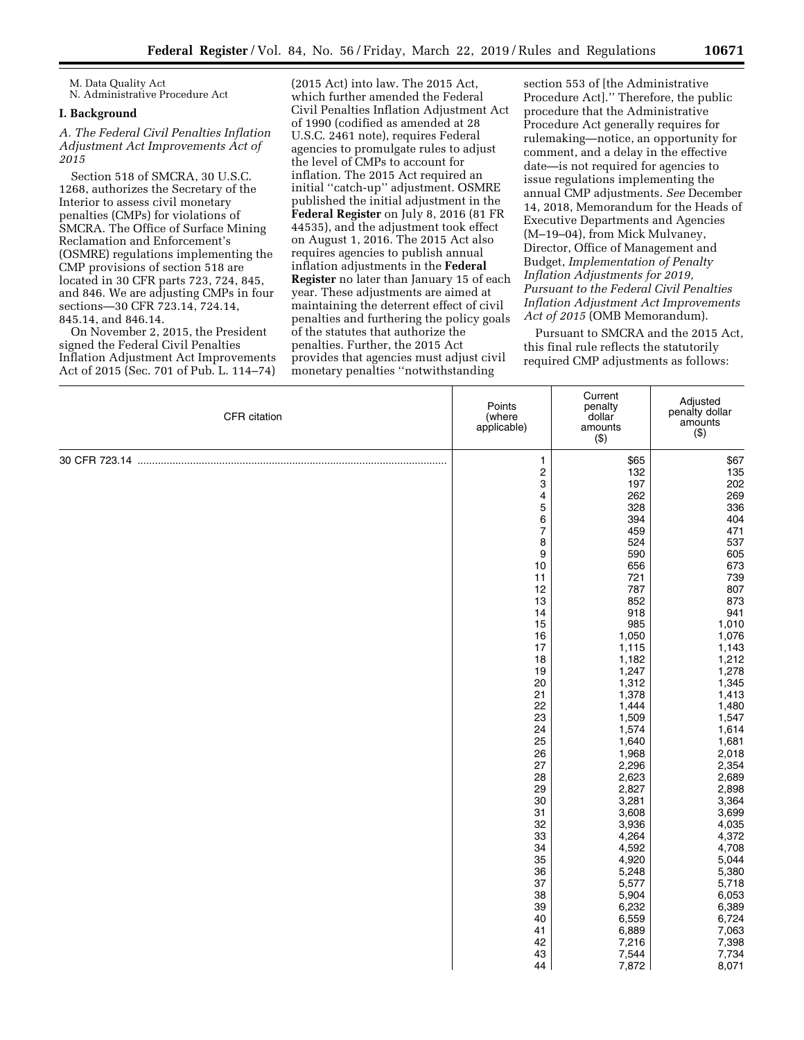M. Data Quality Act N. Administrative Procedure Act

# **I. Background**

*A. The Federal Civil Penalties Inflation Adjustment Act Improvements Act of 2015* 

Section 518 of SMCRA, 30 U.S.C. 1268, authorizes the Secretary of the Interior to assess civil monetary penalties (CMPs) for violations of SMCRA. The Office of Surface Mining Reclamation and Enforcement's (OSMRE) regulations implementing the CMP provisions of section 518 are located in 30 CFR parts 723, 724, 845, and 846. We are adjusting CMPs in four sections—30 CFR 723.14, 724.14, 845.14, and 846.14.

On November 2, 2015, the President signed the Federal Civil Penalties Inflation Adjustment Act Improvements Act of 2015 (Sec. 701 of Pub. L. 114–74)

(2015 Act) into law. The 2015 Act, which further amended the Federal Civil Penalties Inflation Adjustment Act of 1990 (codified as amended at 28 U.S.C. 2461 note), requires Federal agencies to promulgate rules to adjust the level of CMPs to account for inflation. The 2015 Act required an initial ''catch-up'' adjustment. OSMRE published the initial adjustment in the **Federal Register** on July 8, 2016 (81 FR 44535), and the adjustment took effect on August 1, 2016. The 2015 Act also requires agencies to publish annual inflation adjustments in the **Federal Register** no later than January 15 of each year. These adjustments are aimed at maintaining the deterrent effect of civil penalties and furthering the policy goals of the statutes that authorize the penalties. Further, the 2015 Act provides that agencies must adjust civil monetary penalties ''notwithstanding

section 553 of [the Administrative Procedure Act].'' Therefore, the public procedure that the Administrative Procedure Act generally requires for rulemaking—notice, an opportunity for comment, and a delay in the effective date—is not required for agencies to issue regulations implementing the annual CMP adjustments. *See* December 14, 2018, Memorandum for the Heads of Executive Departments and Agencies (M–19–04), from Mick Mulvaney, Director, Office of Management and Budget, *Implementation of Penalty Inflation Adjustments for 2019, Pursuant to the Federal Civil Penalties Inflation Adjustment Act Improvements Act of 2015* (OMB Memorandum).

Pursuant to SMCRA and the 2015 Act, this final rule reflects the statutorily required CMP adjustments as follows:

| CFR citation | Points<br>(where<br>applicable) | Current<br>penalty<br>dollar<br>amounts<br>$($ \$) | Adjusted<br>penalty dollar<br>amounts<br>(3) |
|--------------|---------------------------------|----------------------------------------------------|----------------------------------------------|
|              | $\mathbf{1}$                    | \$65                                               | \$67                                         |
|              | $\overline{\mathbf{c}}$         | 132                                                | 135                                          |
|              | 3                               | 197                                                | 202                                          |
|              | 4<br>5                          | 262<br>328                                         | 269<br>336                                   |
|              | 6                               | 394                                                | 404                                          |
|              | $\overline{\mathcal{I}}$        | 459                                                | 471                                          |
|              | 8                               | 524                                                | 537                                          |
|              | 9                               | 590                                                | 605                                          |
|              | 10                              | 656                                                | 673                                          |
|              | 11                              | 721                                                | 739                                          |
|              | 12                              | 787                                                | 807                                          |
|              | 13<br>14                        | 852<br>918                                         | 873<br>941                                   |
|              | 15                              | 985                                                | 1,010                                        |
|              | 16                              | 1,050                                              | 1,076                                        |
|              | 17                              | 1,115                                              | 1,143                                        |
|              | 18                              | 1,182                                              | 1,212                                        |
|              | 19                              | 1,247                                              | 1,278                                        |
|              | 20                              | 1,312                                              | 1,345                                        |
|              | 21                              | 1,378                                              | 1,413                                        |
|              | 22                              | 1,444                                              | 1,480                                        |
|              | 23<br>24                        | 1,509<br>1,574                                     | 1,547<br>1,614                               |
|              | 25                              | 1,640                                              | 1,681                                        |
|              | 26                              | 1,968                                              | 2,018                                        |
|              | 27                              | 2,296                                              | 2,354                                        |
|              | 28                              | 2,623                                              | 2,689                                        |
|              | 29                              | 2,827                                              | 2,898                                        |
|              | 30                              | 3,281                                              | 3,364                                        |
|              | 31                              | 3,608                                              | 3,699                                        |
|              | 32                              | 3,936                                              | 4,035                                        |
|              | 33<br>34                        | 4,264<br>4,592                                     | 4,372<br>4,708                               |
|              | 35                              | 4,920                                              | 5,044                                        |
|              | 36                              | 5,248                                              | 5,380                                        |
|              | 37                              | 5,577                                              | 5,718                                        |
|              | 38                              | 5,904                                              | 6,053                                        |
|              | 39                              | 6,232                                              | 6,389                                        |
|              | 40                              | 6,559                                              | 6,724                                        |
|              | 41                              | 6,889                                              | 7,063                                        |
|              | 42                              | 7,216                                              | 7,398                                        |
|              | 43                              | 7,544                                              | 7,734                                        |
|              | 44                              | 7,872                                              | 8,071                                        |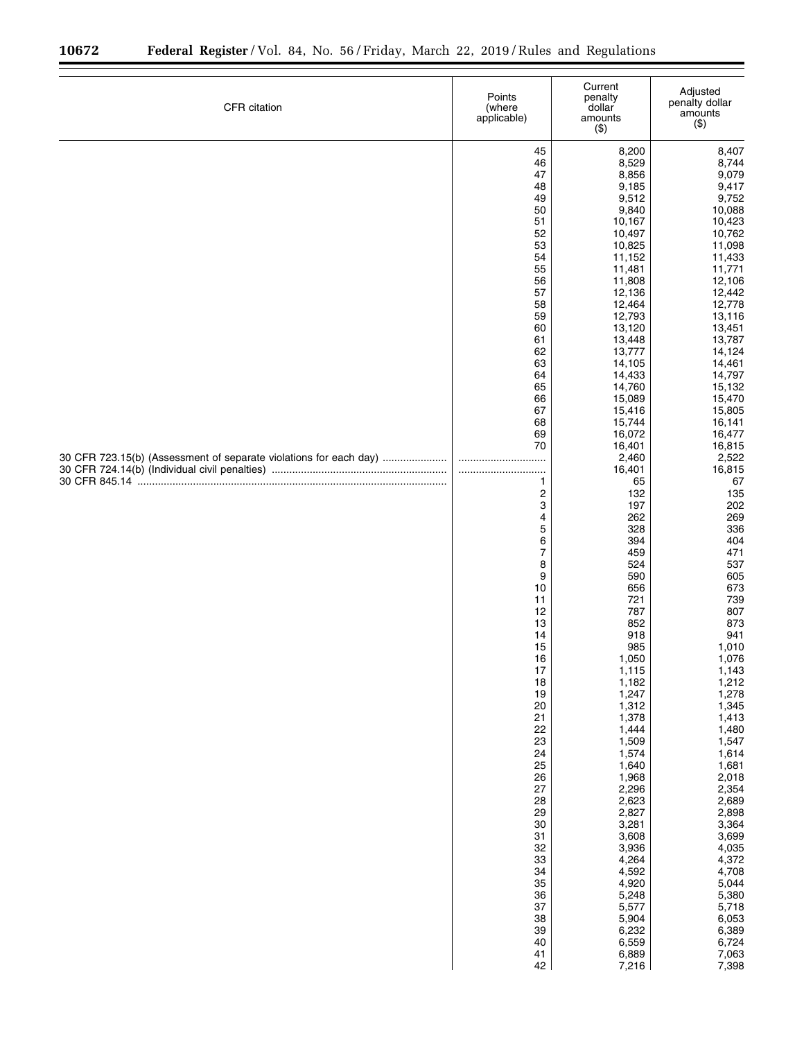▀

| CFR citation                                                      | Points<br>(where<br>applicable)                                                                                                                                                                                                                                                                                                                                                                                                                                   | Current<br>penalty<br>dollar<br>amounts<br>( \$)                                                                                                                                                                                                                                                                                                                                                                                                                                                                                                                                                                                         | Adjusted<br>penalty dollar<br>amounts<br>$($ \$)                                                                                                                                                                                                                                                                                                                                                                                                                                                                                                                                                                                            |
|-------------------------------------------------------------------|-------------------------------------------------------------------------------------------------------------------------------------------------------------------------------------------------------------------------------------------------------------------------------------------------------------------------------------------------------------------------------------------------------------------------------------------------------------------|------------------------------------------------------------------------------------------------------------------------------------------------------------------------------------------------------------------------------------------------------------------------------------------------------------------------------------------------------------------------------------------------------------------------------------------------------------------------------------------------------------------------------------------------------------------------------------------------------------------------------------------|---------------------------------------------------------------------------------------------------------------------------------------------------------------------------------------------------------------------------------------------------------------------------------------------------------------------------------------------------------------------------------------------------------------------------------------------------------------------------------------------------------------------------------------------------------------------------------------------------------------------------------------------|
| 30 CFR 723.15(b) (Assessment of separate violations for each day) | 45<br>46<br>47<br>48<br>49<br>50<br>51<br>52<br>53<br>54<br>55<br>56<br>57<br>58<br>59<br>60<br>61<br>62<br>63<br>64<br>65<br>66<br>67<br>68<br>69<br>70<br><br><br>$\mathbf{1}$<br>$\overline{\mathbf{c}}$<br>3<br>4<br>5<br>6<br>$\overline{7}$<br>8<br>9<br>10<br>11<br>12<br>13<br>14<br>15<br>16<br>17<br>18<br>19<br>20<br>21<br>22<br>23<br>24<br>25<br>26<br>27<br>28<br>29<br>30<br>31<br>32<br>33<br>34<br>35<br>36<br>37<br>38<br>39<br>40<br>41<br>42 | 8,200<br>8,529<br>8,856<br>9,185<br>9,512<br>9,840<br>10,167<br>10,497<br>10,825<br>11,152<br>11,481<br>11,808<br>12,136<br>12,464<br>12,793<br>13,120<br>13,448<br>13,777<br>14,105<br>14,433<br>14,760<br>15,089<br>15,416<br>15,744<br>16,072<br>16,401<br>2,460<br>16,401<br>65<br>132<br>197<br>262<br>328<br>394<br>459<br>524<br>590<br>656<br>721<br>787<br>852<br>918<br>985<br>1,050<br>1,115<br>1,182<br>1,247<br>1,312<br>1,378<br>1,444<br>1,509<br>1,574<br>1,640<br>1,968<br>2,296<br>2,623<br>2,827<br>3,281<br>3,608<br>3,936<br>4,264<br>4,592<br>4,920<br>5,248<br>5,577<br>5,904<br>6,232<br>6,559<br>6,889<br>7,216 | 8,407<br>8,744<br>9,079<br>9,417<br>9,752<br>10,088<br>10,423<br>10,762<br>11,098<br>11,433<br>11,771<br>12,106<br>12,442<br>12,778<br>13,116<br>13,451<br>13,787<br>14,124<br>14,461<br>14,797<br>15,132<br>15,470<br>15,805<br>16,141<br>16,477<br>16,815<br>2,522<br>16,815<br>67<br>135<br>202<br>269<br>336<br>404<br>471<br>537<br>605<br>673<br>739<br>807<br>873<br>941<br>1,010<br>1,076<br>1,143<br>1,212<br>1,278<br>1,345<br>1,413<br>1,480<br>1,547<br>1,614<br>1,681<br>2,018<br>2,354<br>2,689<br>2,898<br>3,364<br>3,699<br>4,035<br>4,372<br>4,708<br>5,044<br>5,380<br>5,718<br>6,053<br>6,389<br>6,724<br>7,063<br>7,398 |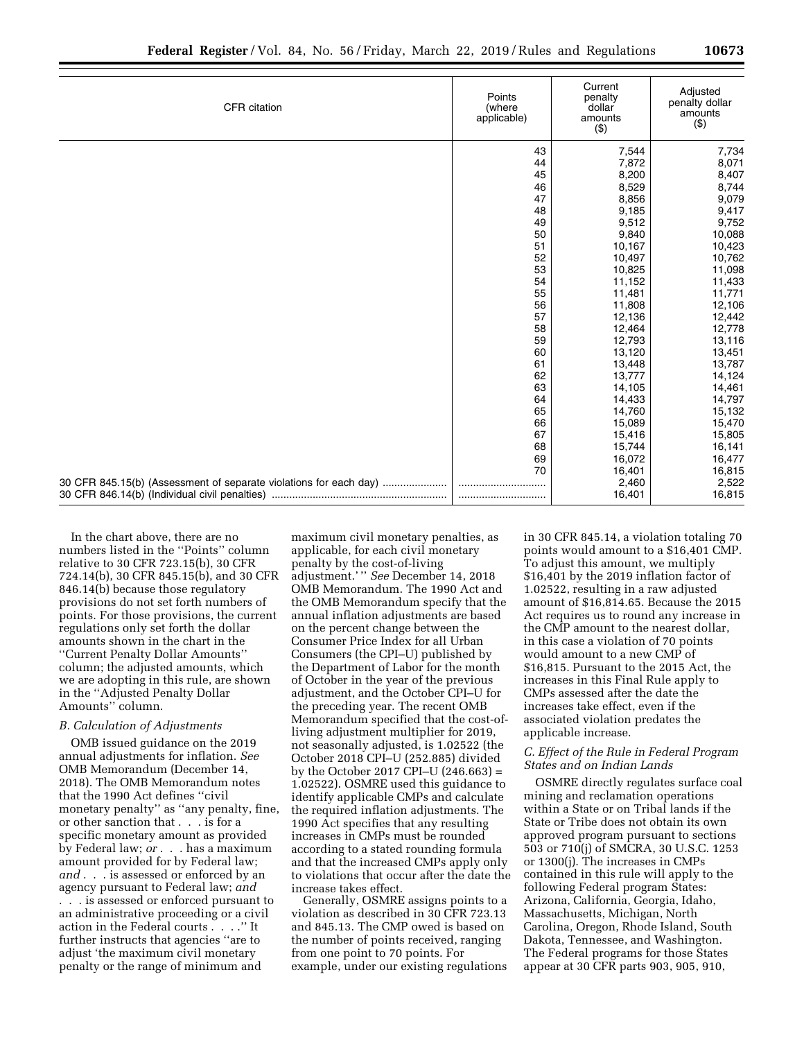|  | ı<br>× |  |
|--|--------|--|

| CFR citation                                                      | Points<br>(where<br>applicable) | Current<br>penalty<br>dollar<br>amounts<br>(3) | Adjusted<br>penalty dollar<br>amounts<br>(3) |
|-------------------------------------------------------------------|---------------------------------|------------------------------------------------|----------------------------------------------|
|                                                                   | 43                              | 7,544                                          | 7,734                                        |
|                                                                   | 44                              | 7,872                                          | 8,071                                        |
|                                                                   | 45                              | 8,200                                          | 8,407                                        |
|                                                                   | 46                              | 8,529                                          | 8,744                                        |
|                                                                   | 47                              | 8,856                                          | 9,079                                        |
|                                                                   | 48                              | 9,185                                          | 9,417                                        |
|                                                                   | 49                              | 9,512                                          | 9,752                                        |
|                                                                   | 50                              | 9,840                                          | 10,088                                       |
|                                                                   | 51                              | 10,167                                         | 10,423                                       |
|                                                                   | 52                              | 10,497                                         | 10,762                                       |
|                                                                   | 53                              | 10,825                                         | 11,098                                       |
|                                                                   | 54                              | 11,152                                         | 11,433                                       |
|                                                                   | 55                              | 11,481                                         | 11,771                                       |
|                                                                   | 56                              | 11,808                                         | 12,106                                       |
|                                                                   | 57                              | 12,136                                         | 12,442                                       |
|                                                                   | 58                              | 12,464                                         | 12,778                                       |
|                                                                   | 59                              | 12,793                                         | 13,116                                       |
|                                                                   | 60                              | 13,120                                         | 13,451                                       |
|                                                                   | 61                              | 13,448                                         | 13,787                                       |
|                                                                   | 62                              | 13,777                                         | 14,124                                       |
|                                                                   | 63                              | 14,105                                         | 14,461                                       |
|                                                                   | 64                              | 14,433                                         | 14,797                                       |
|                                                                   | 65                              | 14,760                                         | 15,132                                       |
|                                                                   | 66                              | 15,089                                         | 15,470                                       |
|                                                                   | 67                              | 15,416                                         | 15,805                                       |
|                                                                   | 68                              | 15,744                                         | 16,141                                       |
|                                                                   | 69                              | 16,072                                         | 16,477                                       |
|                                                                   | 70                              | 16,401                                         | 16,815                                       |
| 30 CFR 845.15(b) (Assessment of separate violations for each day) |                                 | 2,460                                          | 2,522                                        |
|                                                                   |                                 | 16,401                                         | 16,815                                       |

In the chart above, there are no numbers listed in the ''Points'' column relative to 30 CFR 723.15(b), 30 CFR 724.14(b), 30 CFR 845.15(b), and 30 CFR 846.14(b) because those regulatory provisions do not set forth numbers of points. For those provisions, the current regulations only set forth the dollar amounts shown in the chart in the ''Current Penalty Dollar Amounts'' column; the adjusted amounts, which we are adopting in this rule, are shown in the ''Adjusted Penalty Dollar Amounts'' column.

#### *B. Calculation of Adjustments*

OMB issued guidance on the 2019 annual adjustments for inflation. *See*  OMB Memorandum (December 14, 2018). The OMB Memorandum notes that the 1990 Act defines ''civil monetary penalty'' as ''any penalty, fine, or other sanction that . . . is for a specific monetary amount as provided by Federal law; *or* . . . has a maximum amount provided for by Federal law; *and* . . . is assessed or enforced by an agency pursuant to Federal law; *and*  . . . is assessed or enforced pursuant to an administrative proceeding or a civil action in the Federal courts . . . .'' It further instructs that agencies ''are to adjust 'the maximum civil monetary penalty or the range of minimum and

maximum civil monetary penalties, as applicable, for each civil monetary penalty by the cost-of-living adjustment.' '' *See* December 14, 2018 OMB Memorandum. The 1990 Act and the OMB Memorandum specify that the annual inflation adjustments are based on the percent change between the Consumer Price Index for all Urban Consumers (the CPI–U) published by the Department of Labor for the month of October in the year of the previous adjustment, and the October CPI–U for the preceding year. The recent OMB Memorandum specified that the cost-ofliving adjustment multiplier for 2019, not seasonally adjusted, is 1.02522 (the October 2018 CPI–U (252.885) divided by the October 2017 CPI–U (246.663) = 1.02522). OSMRE used this guidance to identify applicable CMPs and calculate the required inflation adjustments. The 1990 Act specifies that any resulting increases in CMPs must be rounded according to a stated rounding formula and that the increased CMPs apply only to violations that occur after the date the increase takes effect.

Generally, OSMRE assigns points to a violation as described in 30 CFR 723.13 and 845.13. The CMP owed is based on the number of points received, ranging from one point to 70 points. For example, under our existing regulations in 30 CFR 845.14, a violation totaling 70 points would amount to a \$16,401 CMP. To adjust this amount, we multiply \$16,401 by the 2019 inflation factor of 1.02522, resulting in a raw adjusted amount of \$16,814.65. Because the 2015 Act requires us to round any increase in the CMP amount to the nearest dollar, in this case a violation of 70 points would amount to a new CMP of \$16,815. Pursuant to the 2015 Act, the increases in this Final Rule apply to CMPs assessed after the date the increases take effect, even if the associated violation predates the applicable increase.

# *C. Effect of the Rule in Federal Program States and on Indian Lands*

OSMRE directly regulates surface coal mining and reclamation operations within a State or on Tribal lands if the State or Tribe does not obtain its own approved program pursuant to sections 503 or 710(j) of SMCRA, 30 U.S.C. 1253 or 1300(j). The increases in CMPs contained in this rule will apply to the following Federal program States: Arizona, California, Georgia, Idaho, Massachusetts, Michigan, North Carolina, Oregon, Rhode Island, South Dakota, Tennessee, and Washington. The Federal programs for those States appear at 30 CFR parts 903, 905, 910,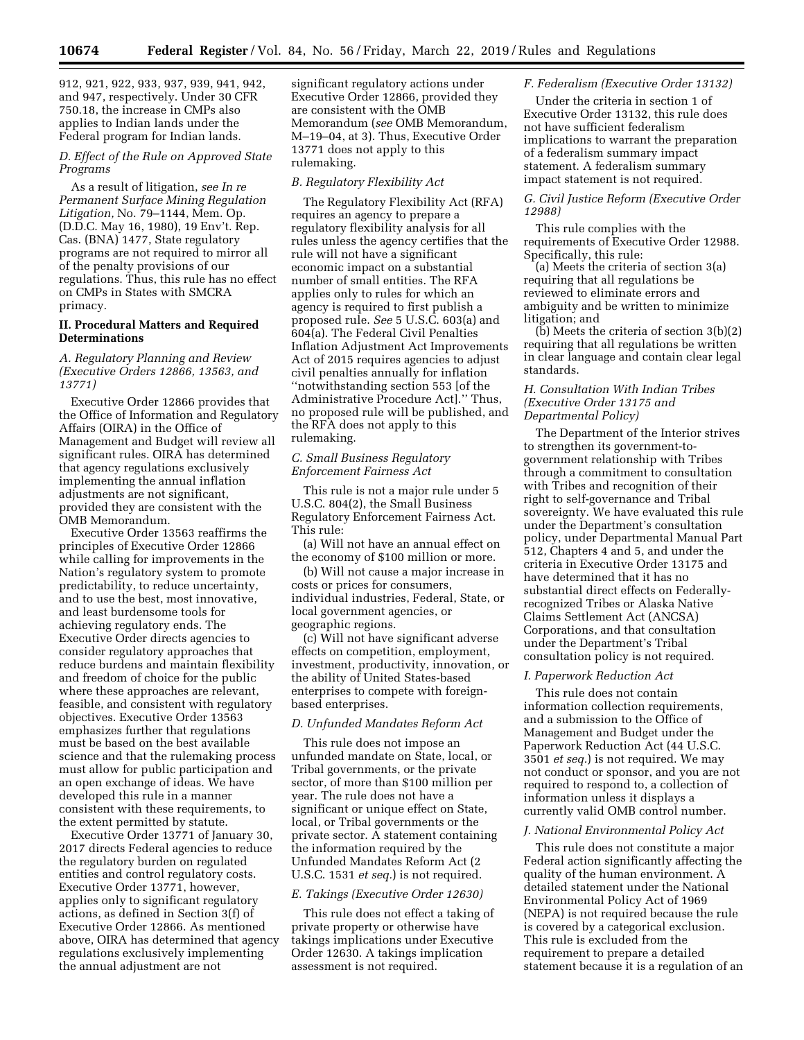912, 921, 922, 933, 937, 939, 941, 942, and 947, respectively. Under 30 CFR 750.18, the increase in CMPs also applies to Indian lands under the Federal program for Indian lands.

# *D. Effect of the Rule on Approved State Programs*

As a result of litigation, *see In re Permanent Surface Mining Regulation Litigation,* No. 79–1144, Mem. Op. (D.D.C. May 16, 1980), 19 Env't. Rep. Cas. (BNA) 1477, State regulatory programs are not required to mirror all of the penalty provisions of our regulations. Thus, this rule has no effect on CMPs in States with SMCRA primacy.

# **II. Procedural Matters and Required Determinations**

# *A. Regulatory Planning and Review (Executive Orders 12866, 13563, and 13771)*

Executive Order 12866 provides that the Office of Information and Regulatory Affairs (OIRA) in the Office of Management and Budget will review all significant rules. OIRA has determined that agency regulations exclusively implementing the annual inflation adjustments are not significant, provided they are consistent with the OMB Memorandum.

Executive Order 13563 reaffirms the principles of Executive Order 12866 while calling for improvements in the Nation's regulatory system to promote predictability, to reduce uncertainty, and to use the best, most innovative, and least burdensome tools for achieving regulatory ends. The Executive Order directs agencies to consider regulatory approaches that reduce burdens and maintain flexibility and freedom of choice for the public where these approaches are relevant, feasible, and consistent with regulatory objectives. Executive Order 13563 emphasizes further that regulations must be based on the best available science and that the rulemaking process must allow for public participation and an open exchange of ideas. We have developed this rule in a manner consistent with these requirements, to the extent permitted by statute.

Executive Order 13771 of January 30, 2017 directs Federal agencies to reduce the regulatory burden on regulated entities and control regulatory costs. Executive Order 13771, however, applies only to significant regulatory actions, as defined in Section 3(f) of Executive Order 12866. As mentioned above, OIRA has determined that agency regulations exclusively implementing the annual adjustment are not

significant regulatory actions under Executive Order 12866, provided they are consistent with the OMB Memorandum (*see* OMB Memorandum, M–19–04, at 3). Thus, Executive Order 13771 does not apply to this rulemaking.

#### *B. Regulatory Flexibility Act*

The Regulatory Flexibility Act (RFA) requires an agency to prepare a regulatory flexibility analysis for all rules unless the agency certifies that the rule will not have a significant economic impact on a substantial number of small entities. The RFA applies only to rules for which an agency is required to first publish a proposed rule. *See* 5 U.S.C. 603(a) and 604(a). The Federal Civil Penalties Inflation Adjustment Act Improvements Act of 2015 requires agencies to adjust civil penalties annually for inflation ''notwithstanding section 553 [of the Administrative Procedure Act].'' Thus, no proposed rule will be published, and the RFA does not apply to this rulemaking.

# *C. Small Business Regulatory Enforcement Fairness Act*

This rule is not a major rule under 5 U.S.C. 804(2), the Small Business Regulatory Enforcement Fairness Act. This rule:

(a) Will not have an annual effect on the economy of \$100 million or more.

(b) Will not cause a major increase in costs or prices for consumers, individual industries, Federal, State, or local government agencies, or geographic regions.

(c) Will not have significant adverse effects on competition, employment, investment, productivity, innovation, or the ability of United States-based enterprises to compete with foreignbased enterprises.

# *D. Unfunded Mandates Reform Act*

This rule does not impose an unfunded mandate on State, local, or Tribal governments, or the private sector, of more than \$100 million per year. The rule does not have a significant or unique effect on State, local, or Tribal governments or the private sector. A statement containing the information required by the Unfunded Mandates Reform Act (2 U.S.C. 1531 *et seq.*) is not required.

#### *E. Takings (Executive Order 12630)*

This rule does not effect a taking of private property or otherwise have takings implications under Executive Order 12630. A takings implication assessment is not required.

#### *F. Federalism (Executive Order 13132)*

Under the criteria in section 1 of Executive Order 13132, this rule does not have sufficient federalism implications to warrant the preparation of a federalism summary impact statement. A federalism summary impact statement is not required.

#### *G. Civil Justice Reform (Executive Order 12988)*

This rule complies with the requirements of Executive Order 12988. Specifically, this rule:

(a) Meets the criteria of section 3(a) requiring that all regulations be reviewed to eliminate errors and ambiguity and be written to minimize litigation; and

 $(b)$  Meets the criteria of section  $3(b)(2)$ requiring that all regulations be written in clear language and contain clear legal standards.

#### *H. Consultation With Indian Tribes (Executive Order 13175 and Departmental Policy)*

The Department of the Interior strives to strengthen its government-togovernment relationship with Tribes through a commitment to consultation with Tribes and recognition of their right to self-governance and Tribal sovereignty. We have evaluated this rule under the Department's consultation policy, under Departmental Manual Part 512, Chapters 4 and 5, and under the criteria in Executive Order 13175 and have determined that it has no substantial direct effects on Federallyrecognized Tribes or Alaska Native Claims Settlement Act (ANCSA) Corporations, and that consultation under the Department's Tribal consultation policy is not required.

#### *I. Paperwork Reduction Act*

This rule does not contain information collection requirements, and a submission to the Office of Management and Budget under the Paperwork Reduction Act (44 U.S.C. 3501 *et seq.*) is not required. We may not conduct or sponsor, and you are not required to respond to, a collection of information unless it displays a currently valid OMB control number.

#### *J. National Environmental Policy Act*

This rule does not constitute a major Federal action significantly affecting the quality of the human environment. A detailed statement under the National Environmental Policy Act of 1969 (NEPA) is not required because the rule is covered by a categorical exclusion. This rule is excluded from the requirement to prepare a detailed statement because it is a regulation of an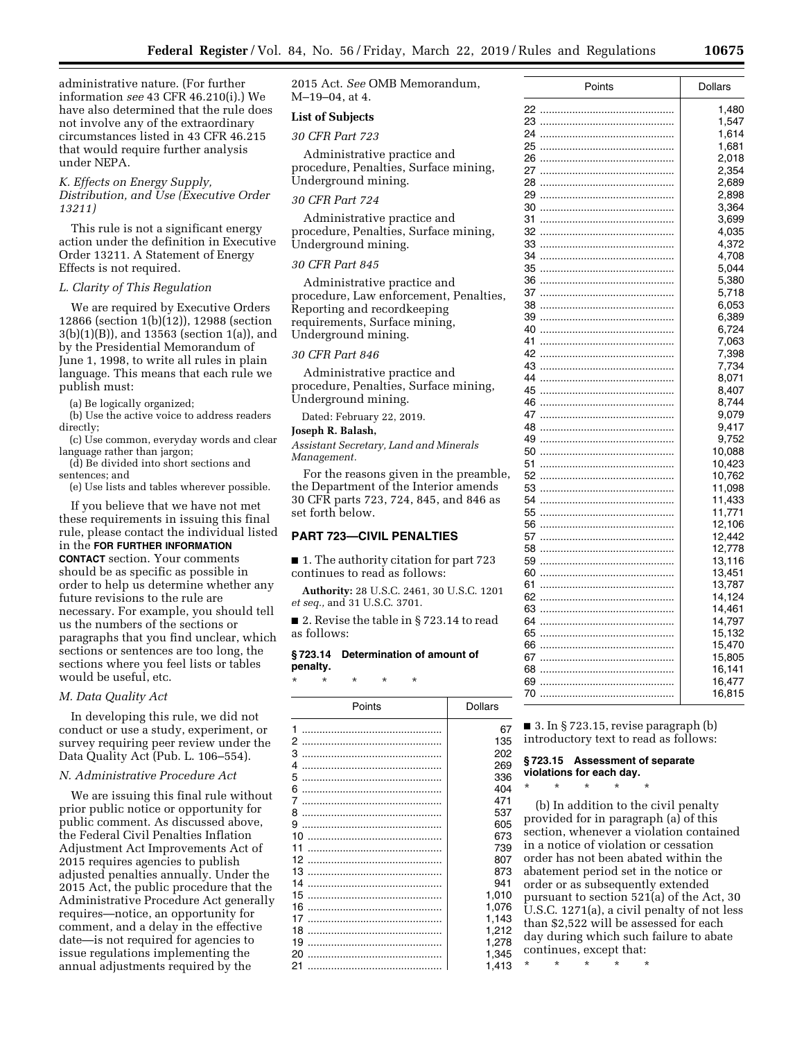administrative nature. (For further information *see* 43 CFR 46.210(i).) We have also determined that the rule does not involve any of the extraordinary circumstances listed in 43 CFR 46.215 that would require further analysis under NEPA.

### *K. Effects on Energy Supply, Distribution, and Use (Executive Order 13211)*

This rule is not a significant energy action under the definition in Executive Order 13211. A Statement of Energy Effects is not required.

#### *L. Clarity of This Regulation*

We are required by Executive Orders 12866 (section 1(b)(12)), 12988 (section 3(b)(1)(B)), and 13563 (section 1(a)), and by the Presidential Memorandum of June 1, 1998, to write all rules in plain language. This means that each rule we publish must:

(a) Be logically organized;

(b) Use the active voice to address readers directly;

- (c) Use common, everyday words and clear language rather than jargon;
- (d) Be divided into short sections and sentences; and

(e) Use lists and tables wherever possible.

If you believe that we have not met these requirements in issuing this final rule, please contact the individual listed in the **FOR FURTHER INFORMATION CONTACT** section. Your comments should be as specific as possible in order to help us determine whether any future revisions to the rule are necessary. For example, you should tell us the numbers of the sections or paragraphs that you find unclear, which sections or sentences are too long, the sections where you feel lists or tables would be useful, etc.

#### *M. Data Quality Act*

In developing this rule, we did not conduct or use a study, experiment, or survey requiring peer review under the Data Quality Act (Pub. L. 106–554).

#### *N. Administrative Procedure Act*

We are issuing this final rule without prior public notice or opportunity for public comment. As discussed above, the Federal Civil Penalties Inflation Adjustment Act Improvements Act of 2015 requires agencies to publish adjusted penalties annually. Under the 2015 Act, the public procedure that the Administrative Procedure Act generally requires—notice, an opportunity for comment, and a delay in the effective date—is not required for agencies to issue regulations implementing the annual adjustments required by the

2015 Act. *See* OMB Memorandum, M–19–04, at 4.

#### **List of Subjects**

#### *30 CFR Part 723*

Administrative practice and procedure, Penalties, Surface mining, Underground mining.

#### *30 CFR Part 724*

Administrative practice and procedure, Penalties, Surface mining, Underground mining.

# *30 CFR Part 845*

Administrative practice and procedure, Law enforcement, Penalties, Reporting and recordkeeping requirements, Surface mining, Underground mining.

# *30 CFR Part 846*

Administrative practice and procedure, Penalties, Surface mining, Underground mining.

Dated: February 22, 2019.

# **Joseph R. Balash,**

*Assistant Secretary, Land and Minerals Management.* 

For the reasons given in the preamble, the Department of the Interior amends 30 CFR parts 723, 724, 845, and 846 as set forth below.

# **PART 723—CIVIL PENALTIES**

■ 1. The authority citation for part 723 continues to read as follows:

**Authority:** 28 U.S.C. 2461, 30 U.S.C. 1201 *et seq.,* and 31 U.S.C. 3701.

■ 2. Revise the table in §723.14 to read as follows:

# **§ 723.14 Determination of amount of penalty.**

\* \* \* \* \*

| Points   | Dollars        |
|----------|----------------|
| 1<br>2   | 67<br>135      |
| 3        | 202            |
| 4        | 269            |
| 5        | 336            |
| 6        | 404            |
| 7        | 471            |
| 8<br>9   | 537<br>605     |
| 10       | 673            |
| 11       | 739            |
| 12       | 807            |
| 13       | 873            |
| 14       | 941            |
| 15       | 1.010          |
| 16       | 1,076          |
| 17       | 1,143          |
| 18<br>19 | 1,212          |
| 20       | 1,278<br>1,345 |
| 21       | 1,413          |
|          |                |

| Points   | <b>Dollars</b>   |
|----------|------------------|
| 22       | 1,480            |
| 23       | 1,547            |
| 24       | 1,614            |
| 25       | 1,681            |
| 26       | 2,018            |
| 27       | 2,354            |
| 28       | 2,689            |
| 29       | 2,898            |
| 30       | 3,364            |
| 31       | 3,699            |
| 32       | 4,035            |
| 33       | 4,372            |
| 34       | 4,708            |
| 35       | 5,044            |
| 36       | 5,380            |
| 37       | 5,718            |
| 38       | 6,053            |
| 39       | 6,389            |
| 40       | 6,724            |
| 41       | 7,063            |
| 42       | 7,398            |
| 43       | 7,734            |
| 44       | 8,071            |
| 45       | 8,407            |
| 46       | 8,744            |
| 47       | 9,079            |
| 48       | 9.417            |
| 49       | 9,752            |
| 50       | 10,088           |
| 51       | 10,423           |
| 52       | 10,762           |
| 53       | 11,098           |
| 54<br>55 | 11,433<br>11,771 |
| 56       | 12,106           |
| 57       | 12,442           |
| 58       | 12,778           |
| 59       | 13,116           |
| 60       | 13,451           |
| 61       | 13,787           |
| 62       | 14,124           |
| 63       | 14,461           |
| 64       | 14,797           |
| 65       | 15,132           |
| 66       | 15,470           |
| 67       | 15,805           |
| 68       | 16,141           |
| 69       | 16,477           |
| 70       | 16,815           |

■ 3. In § 723.15, revise paragraph (b) introductory text to read as follows:

# **§ 723.15 Assessment of separate violations for each day.**

\* \* \* \* \*

(b) In addition to the civil penalty provided for in paragraph (a) of this section, whenever a violation contained in a notice of violation or cessation order has not been abated within the abatement period set in the notice or order or as subsequently extended pursuant to section 521(a) of the Act, 30 U.S.C. 1271(a), a civil penalty of not less than \$2,522 will be assessed for each day during which such failure to abate continues, except that: \* \* \* \* \*